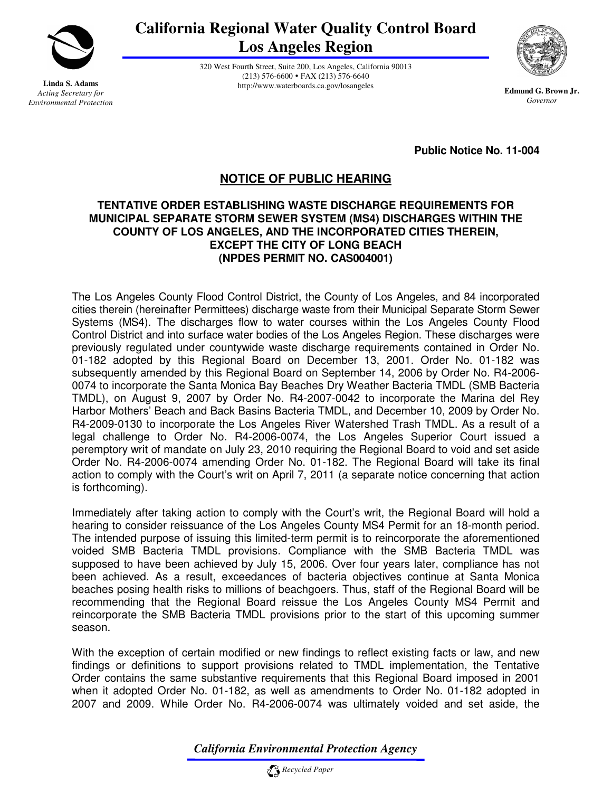

**Linda S. Adams**  *Acting Secretary for Environmental Protection* **California Regional Water Quality Control Board Los Angeles Region** 

> 320 West Fourth Street, Suite 200, Los Angeles, California 90013 (213) 576-6600 FAX (213) 576-6640 http://www.waterboards.ca.gov/losangeles



**Edmund G. Brown Jr.** *Governor* 

**Public Notice No. 11-004** 

# **NOTICE OF PUBLIC HEARING**

#### **TENTATIVE ORDER ESTABLISHING WASTE DISCHARGE REQUIREMENTS FOR MUNICIPAL SEPARATE STORM SEWER SYSTEM (MS4) DISCHARGES WITHIN THE COUNTY OF LOS ANGELES, AND THE INCORPORATED CITIES THEREIN, EXCEPT THE CITY OF LONG BEACH (NPDES PERMIT NO. CAS004001)**

The Los Angeles County Flood Control District, the County of Los Angeles, and 84 incorporated cities therein (hereinafter Permittees) discharge waste from their Municipal Separate Storm Sewer Systems (MS4). The discharges flow to water courses within the Los Angeles County Flood Control District and into surface water bodies of the Los Angeles Region. These discharges were previously regulated under countywide waste discharge requirements contained in Order No. 01-182 adopted by this Regional Board on December 13, 2001. Order No. 01-182 was subsequently amended by this Regional Board on September 14, 2006 by Order No. R4-2006- 0074 to incorporate the Santa Monica Bay Beaches Dry Weather Bacteria TMDL (SMB Bacteria TMDL), on August 9, 2007 by Order No. R4-2007-0042 to incorporate the Marina del Rey Harbor Mothers' Beach and Back Basins Bacteria TMDL, and December 10, 2009 by Order No. R4-2009-0130 to incorporate the Los Angeles River Watershed Trash TMDL. As a result of a legal challenge to Order No. R4-2006-0074, the Los Angeles Superior Court issued a peremptory writ of mandate on July 23, 2010 requiring the Regional Board to void and set aside Order No. R4-2006-0074 amending Order No. 01-182. The Regional Board will take its final action to comply with the Court's writ on April 7, 2011 (a separate notice concerning that action is forthcoming).

Immediately after taking action to comply with the Court's writ, the Regional Board will hold a hearing to consider reissuance of the Los Angeles County MS4 Permit for an 18-month period. The intended purpose of issuing this limited-term permit is to reincorporate the aforementioned voided SMB Bacteria TMDL provisions. Compliance with the SMB Bacteria TMDL was supposed to have been achieved by July 15, 2006. Over four years later, compliance has not been achieved. As a result, exceedances of bacteria objectives continue at Santa Monica beaches posing health risks to millions of beachgoers. Thus, staff of the Regional Board will be recommending that the Regional Board reissue the Los Angeles County MS4 Permit and reincorporate the SMB Bacteria TMDL provisions prior to the start of this upcoming summer season.

With the exception of certain modified or new findings to reflect existing facts or law, and new findings or definitions to support provisions related to TMDL implementation, the Tentative Order contains the same substantive requirements that this Regional Board imposed in 2001 when it adopted Order No. 01-182, as well as amendments to Order No. 01-182 adopted in 2007 and 2009. While Order No. R4-2006-0074 was ultimately voided and set aside, the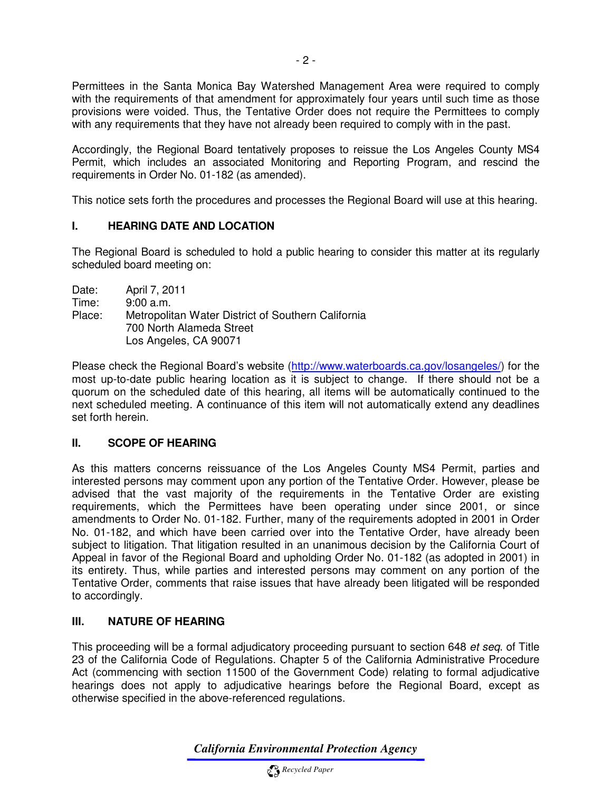Permittees in the Santa Monica Bay Watershed Management Area were required to comply with the requirements of that amendment for approximately four years until such time as those provisions were voided. Thus, the Tentative Order does not require the Permittees to comply with any requirements that they have not already been required to comply with in the past.

Accordingly, the Regional Board tentatively proposes to reissue the Los Angeles County MS4 Permit, which includes an associated Monitoring and Reporting Program, and rescind the requirements in Order No. 01-182 (as amended).

This notice sets forth the procedures and processes the Regional Board will use at this hearing.

#### **I. HEARING DATE AND LOCATION**

The Regional Board is scheduled to hold a public hearing to consider this matter at its regularly scheduled board meeting on:

Date: April 7, 2011<br>Time: 9:00 a.m.  $9:00$  a.m. Place: Metropolitan Water District of Southern California 700 North Alameda Street Los Angeles, CA 90071

Please check the Regional Board's website (http://www.waterboards.ca.gov/losangeles/) for the most up-to-date public hearing location as it is subject to change. If there should not be a quorum on the scheduled date of this hearing, all items will be automatically continued to the next scheduled meeting. A continuance of this item will not automatically extend any deadlines set forth herein.

## **II. SCOPE OF HEARING**

As this matters concerns reissuance of the Los Angeles County MS4 Permit, parties and interested persons may comment upon any portion of the Tentative Order. However, please be advised that the vast majority of the requirements in the Tentative Order are existing requirements, which the Permittees have been operating under since 2001, or since amendments to Order No. 01-182. Further, many of the requirements adopted in 2001 in Order No. 01-182, and which have been carried over into the Tentative Order, have already been subject to litigation. That litigation resulted in an unanimous decision by the California Court of Appeal in favor of the Regional Board and upholding Order No. 01-182 (as adopted in 2001) in its entirety. Thus, while parties and interested persons may comment on any portion of the Tentative Order, comments that raise issues that have already been litigated will be responded to accordingly.

## **III. NATURE OF HEARING**

This proceeding will be a formal adjudicatory proceeding pursuant to section 648 et seq. of Title 23 of the California Code of Regulations. Chapter 5 of the California Administrative Procedure Act (commencing with section 11500 of the Government Code) relating to formal adjudicative hearings does not apply to adjudicative hearings before the Regional Board, except as otherwise specified in the above-referenced regulations.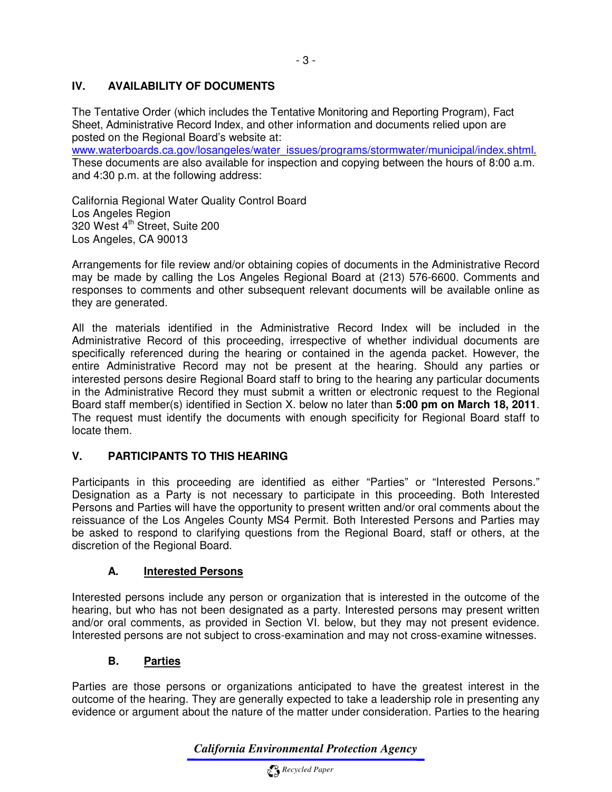## **IV. AVAILABILITY OF DOCUMENTS**

The Tentative Order (which includes the Tentative Monitoring and Reporting Program), Fact Sheet, Administrative Record Index, and other information and documents relied upon are posted on the Regional Board's website at:

www.waterboards.ca.gov/losangeles/water\_issues/programs/stormwater/municipal/index.shtml. These documents are also available for inspection and copying between the hours of 8:00 a.m. and 4:30 p.m. at the following address:

California Regional Water Quality Control Board Los Angeles Region 320 West 4<sup>th</sup> Street, Suite 200 Los Angeles, CA 90013

Arrangements for file review and/or obtaining copies of documents in the Administrative Record may be made by calling the Los Angeles Regional Board at (213) 576-6600. Comments and responses to comments and other subsequent relevant documents will be available online as they are generated.

All the materials identified in the Administrative Record Index will be included in the Administrative Record of this proceeding, irrespective of whether individual documents are specifically referenced during the hearing or contained in the agenda packet. However, the entire Administrative Record may not be present at the hearing. Should any parties or interested persons desire Regional Board staff to bring to the hearing any particular documents in the Administrative Record they must submit a written or electronic request to the Regional Board staff member(s) identified in Section X. below no later than **5:00 pm on March 18, 2011**. The request must identify the documents with enough specificity for Regional Board staff to locate them.

## **V. PARTICIPANTS TO THIS HEARING**

Participants in this proceeding are identified as either "Parties" or "Interested Persons." Designation as a Party is not necessary to participate in this proceeding. Both Interested Persons and Parties will have the opportunity to present written and/or oral comments about the reissuance of the Los Angeles County MS4 Permit. Both Interested Persons and Parties may be asked to respond to clarifying questions from the Regional Board, staff or others, at the discretion of the Regional Board.

## **A. Interested Persons**

Interested persons include any person or organization that is interested in the outcome of the hearing, but who has not been designated as a party. Interested persons may present written and/or oral comments, as provided in Section VI. below, but they may not present evidence. Interested persons are not subject to cross-examination and may not cross-examine witnesses.

## **B. Parties**

Parties are those persons or organizations anticipated to have the greatest interest in the outcome of the hearing. They are generally expected to take a leadership role in presenting any evidence or argument about the nature of the matter under consideration. Parties to the hearing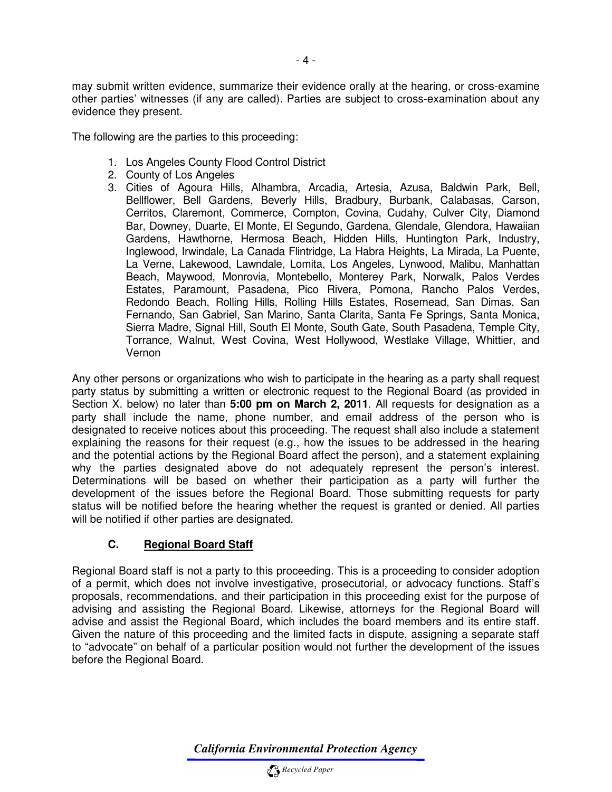may submit written evidence, summarize their evidence orally at the hearing, or cross-examine other parties' witnesses (if any are called). Parties are subject to cross-examination about any evidence they present.

The following are the parties to this proceeding:

- 1. Los Angeles County Flood Control District
- 2. County of Los Angeles
- 3. Cities of Agoura Hills, Alhambra, Arcadia, Artesia, Azusa, Baldwin Park, Bell, Bellflower, Bell Gardens, Beverly Hills, Bradbury, Burbank, Calabasas, Carson, Cerritos, Claremont, Commerce, Compton, Covina, Cudahy, Culver City, Diamond Bar, Downey, Duarte, El Monte, El Segundo, Gardena, Glendale, Glendora, Hawaiian Gardens, Hawthorne, Hermosa Beach, Hidden Hills, Huntington Park, Industry, Inglewood, Irwindale, La Canada Flintridge, La Habra Heights, La Mirada, La Puente, La Verne, Lakewood, Lawndale, Lomita, Los Angeles, Lynwood, Malibu, Manhattan Beach, Maywood, Monrovia, Montebello, Monterey Park, Norwalk, Palos Verdes Estates, Paramount, Pasadena, Pico Rivera, Pomona, Rancho Palos Verdes, Redondo Beach, Rolling Hills, Rolling Hills Estates, Rosemead, San Dimas, San Fernando, San Gabriel, San Marino, Santa Clarita, Santa Fe Springs, Santa Monica, Sierra Madre, Signal Hill, South El Monte, South Gate, South Pasadena, Temple City, Torrance, Walnut, West Covina, West Hollywood, Westlake Village, Whittier, and Vernon

Any other persons or organizations who wish to participate in the hearing as a party shall request party status by submitting a written or electronic request to the Regional Board (as provided in Section X. below) no later than **5:00 pm on March 2, 2011**. All requests for designation as a party shall include the name, phone number, and email address of the person who is designated to receive notices about this proceeding. The request shall also include a statement explaining the reasons for their request (e.g., how the issues to be addressed in the hearing and the potential actions by the Regional Board affect the person), and a statement explaining why the parties designated above do not adequately represent the person's interest. Determinations will be based on whether their participation as a party will further the development of the issues before the Regional Board. Those submitting requests for party status will be notified before the hearing whether the request is granted or denied. All parties will be notified if other parties are designated.

## **C. Regional Board Staff**

Regional Board staff is not a party to this proceeding. This is a proceeding to consider adoption of a permit, which does not involve investigative, prosecutorial, or advocacy functions. Staff's proposals, recommendations, and their participation in this proceeding exist for the purpose of advising and assisting the Regional Board. Likewise, attorneys for the Regional Board will advise and assist the Regional Board, which includes the board members and its entire staff. Given the nature of this proceeding and the limited facts in dispute, assigning a separate staff to "advocate" on behalf of a particular position would not further the development of the issues before the Regional Board.

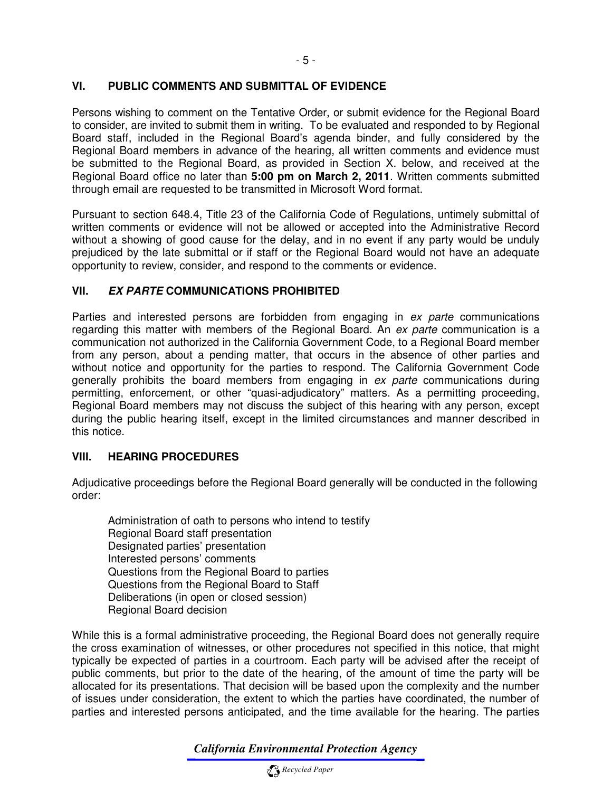#### **VI. PUBLIC COMMENTS AND SUBMITTAL OF EVIDENCE**

Persons wishing to comment on the Tentative Order, or submit evidence for the Regional Board to consider, are invited to submit them in writing. To be evaluated and responded to by Regional Board staff, included in the Regional Board's agenda binder, and fully considered by the Regional Board members in advance of the hearing, all written comments and evidence must be submitted to the Regional Board, as provided in Section X. below, and received at the Regional Board office no later than **5:00 pm on March 2, 2011**. Written comments submitted through email are requested to be transmitted in Microsoft Word format.

Pursuant to section 648.4, Title 23 of the California Code of Regulations, untimely submittal of written comments or evidence will not be allowed or accepted into the Administrative Record without a showing of good cause for the delay, and in no event if any party would be unduly prejudiced by the late submittal or if staff or the Regional Board would not have an adequate opportunity to review, consider, and respond to the comments or evidence.

#### **VII. EX PARTE COMMUNICATIONS PROHIBITED**

Parties and interested persons are forbidden from engaging in ex parte communications regarding this matter with members of the Regional Board. An ex parte communication is a communication not authorized in the California Government Code, to a Regional Board member from any person, about a pending matter, that occurs in the absence of other parties and without notice and opportunity for the parties to respond. The California Government Code generally prohibits the board members from engaging in ex parte communications during permitting, enforcement, or other "quasi-adjudicatory" matters. As a permitting proceeding, Regional Board members may not discuss the subject of this hearing with any person, except during the public hearing itself, except in the limited circumstances and manner described in this notice.

#### **VIII. HEARING PROCEDURES**

Adjudicative proceedings before the Regional Board generally will be conducted in the following order:

Administration of oath to persons who intend to testify Regional Board staff presentation Designated parties' presentation Interested persons' comments Questions from the Regional Board to parties Questions from the Regional Board to Staff Deliberations (in open or closed session) Regional Board decision

While this is a formal administrative proceeding, the Regional Board does not generally require the cross examination of witnesses, or other procedures not specified in this notice, that might typically be expected of parties in a courtroom. Each party will be advised after the receipt of public comments, but prior to the date of the hearing, of the amount of time the party will be allocated for its presentations. That decision will be based upon the complexity and the number of issues under consideration, the extent to which the parties have coordinated, the number of parties and interested persons anticipated, and the time available for the hearing. The parties